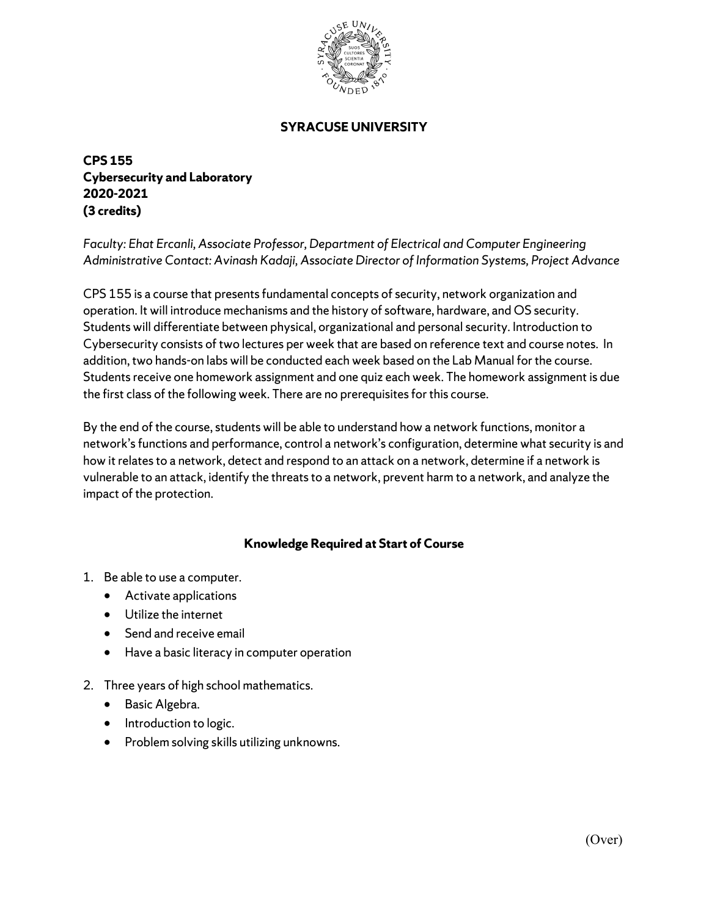

## **SYRACUSE UNIVERSITY**

**CPS 155 Cybersecurity and Laboratory 2020-2021 (3 credits)** 

*Faculty: Ehat Ercanli, Associate Professor, Department of Electrical and Computer Engineering Administrative Contact: Avinash Kadaji, Associate Director of Information Systems, Project Advance* 

CPS 155 is a course that presents fundamental concepts of security, network organization and operation. It will introduce mechanisms and the history of software, hardware, and OS security. Students will differentiate between physical, organizational and personal security. Introduction to Cybersecurity consists of two lectures per week that are based on reference text and course notes. In addition, two hands-on labs will be conducted each week based on the Lab Manual for the course. Students receive one homework assignment and one quiz each week. The homework assignment is due the first class of the following week. There are no prerequisites for this course.

By the end of the course, students will be able to understand how a network functions, monitor a network's functions and performance, control a network's configuration, determine what security is and how it relates to a network, detect and respond to an attack on a network, determine if a network is vulnerable to an attack, identify the threats to a network, prevent harm to a network, and analyze the impact of the protection.

## **Knowledge Required at Start of Course**

- 1. Be able to use a computer.
	- Activate applications
	- Utilize the internet
	- Send and receive email
	- Have a basic literacy in computer operation
- 2. Three years of high school mathematics.
	- Basic Algebra.
	- Introduction to logic.
	- Problem solving skills utilizing unknowns.